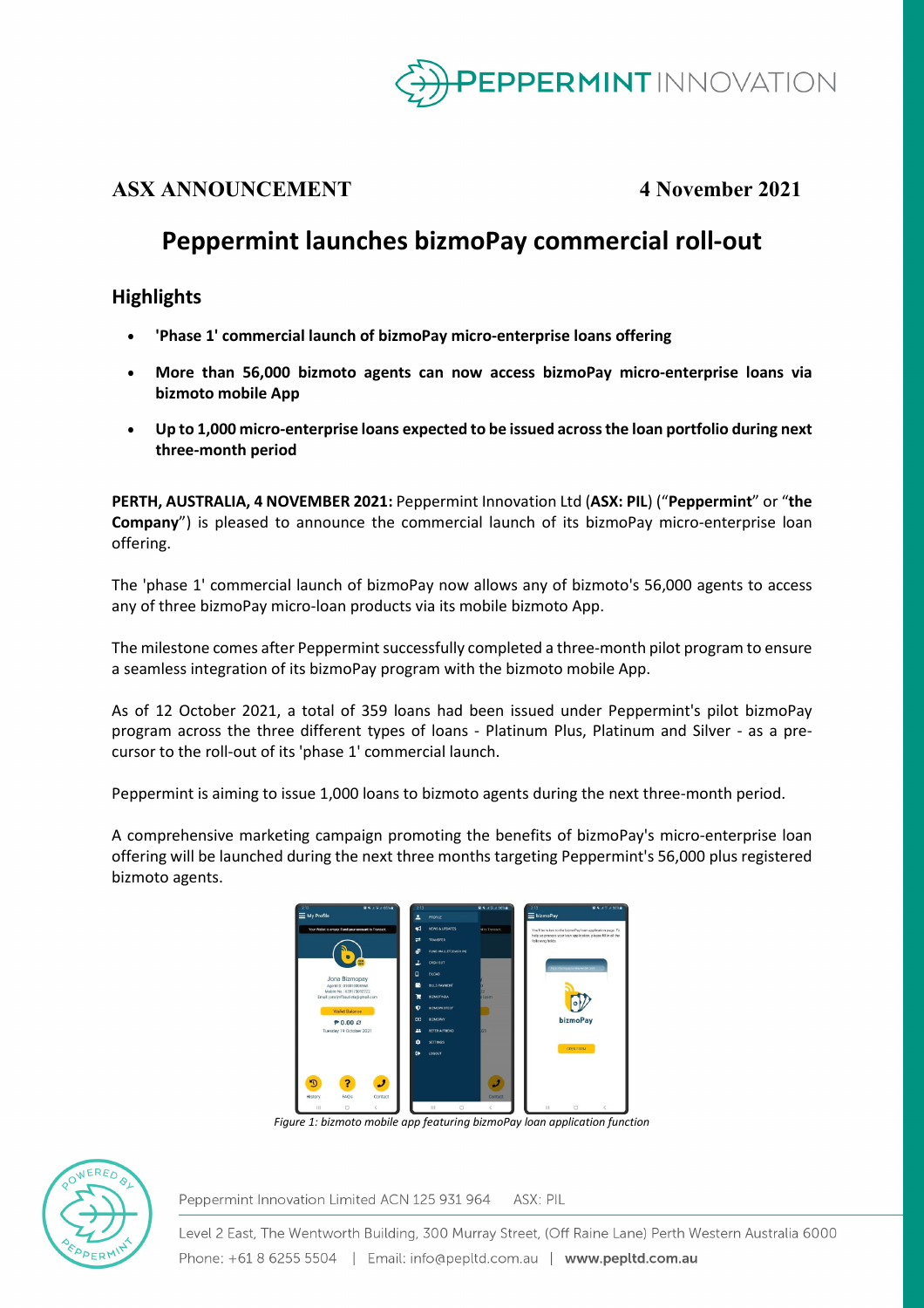

## **ASX ANNOUNCEMENT 4 November 2021**

# **Peppermint launches bizmoPay commercial roll-out**

### **Highlights**

- **'Phase 1' commercial launch of bizmoPay micro-enterprise loans offering**
- **More than 56,000 bizmoto agents can now access bizmoPay micro-enterprise loans via bizmoto mobile App**
- **Up to 1,000 micro-enterprise loans expected to be issued across the loan portfolio during next three-month period**

**PERTH, AUSTRALIA, 4 NOVEMBER 2021:** Peppermint Innovation Ltd (**ASX: PIL**) ("**Peppermint**" or "**the Company**") is pleased to announce the commercial launch of its bizmoPay micro-enterprise loan offering.

The 'phase 1' commercial launch of bizmoPay now allows any of bizmoto's 56,000 agents to access any of three bizmoPay micro-loan products via its mobile bizmoto App.

The milestone comes after Peppermint successfully completed a three-month pilot program to ensure a seamless integration of its bizmoPay program with the bizmoto mobile App.

As of 12 October 2021, a total of 359 loans had been issued under Peppermint's pilot bizmoPay program across the three different types of loans - Platinum Plus, Platinum and Silver - as a precursor to the roll-out of its 'phase 1' commercial launch.

Peppermint is aiming to issue 1,000 loans to bizmoto agents during the next three-month period.

A comprehensive marketing campaign promoting the benefits of bizmoPay's micro-enterprise loan offering will be launched during the next three months targeting Peppermint's 56,000 plus registered bizmoto agents.



*Figure 1: bizmoto mobile app featuring bizmoPay loan application function* 



Peppermint Innovation Limited ACN 125 931 964 ASX: PIL

Level 2 East, The Wentworth Building, 300 Murray Street, (Off Raine Lane) Perth Western Australia 6000 Phone: +61 8 6255 5504 | Email: info@pepltd.com.au | www.pepltd.com.au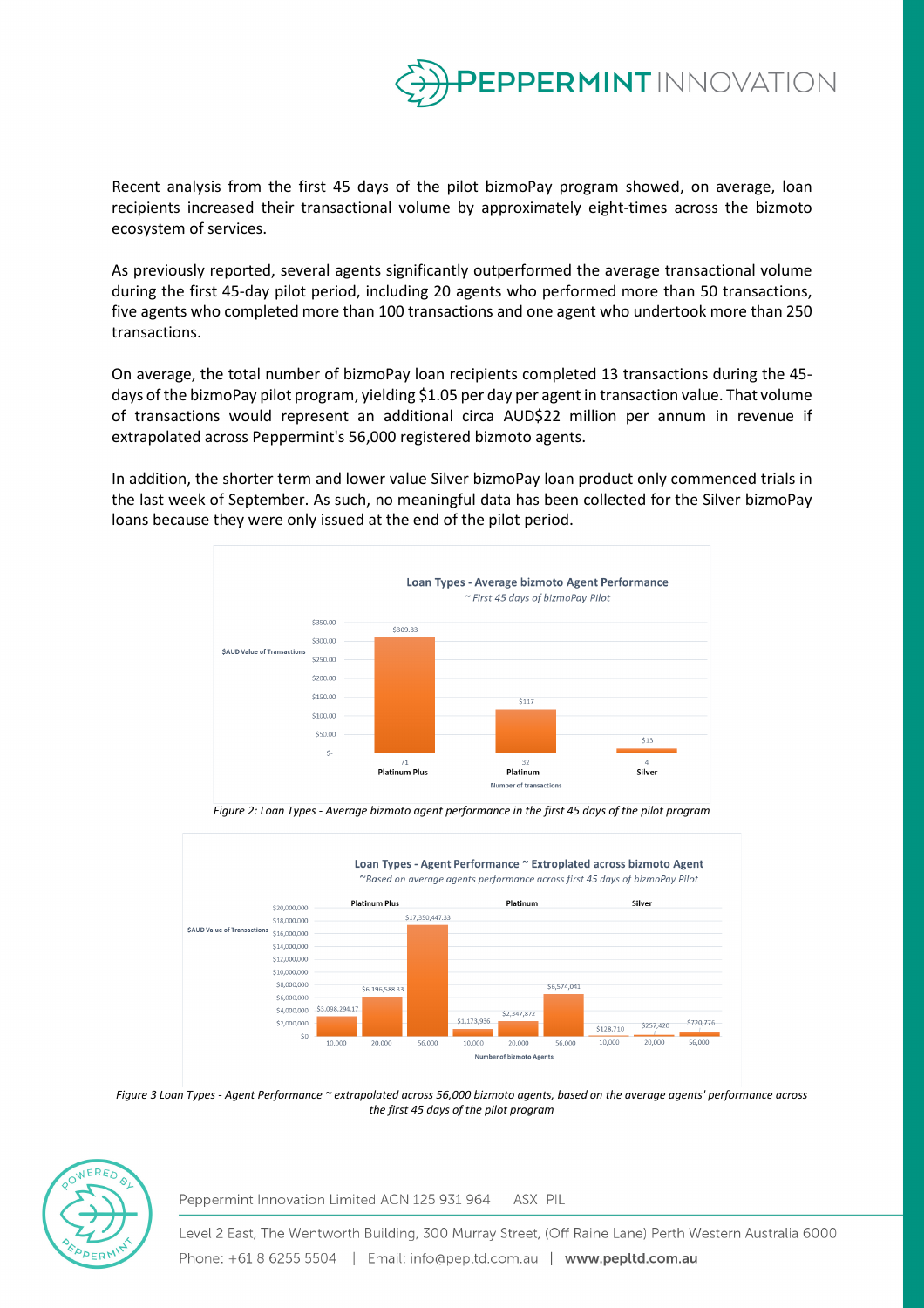

Recent analysis from the first 45 days of the pilot bizmoPay program showed, on average, loan recipients increased their transactional volume by approximately eight-times across the bizmoto ecosystem of services.

As previously reported, several agents significantly outperformed the average transactional volume during the first 45-day pilot period, including 20 agents who performed more than 50 transactions, five agents who completed more than 100 transactions and one agent who undertook more than 250 transactions.

On average, the total number of bizmoPay loan recipients completed 13 transactions during the 45 days of the bizmoPay pilot program, yielding \$1.05 per day per agent in transaction value. That volume of transactions would represent an additional circa AUD\$22 million per annum in revenue if extrapolated across Peppermint's 56,000 registered bizmoto agents.

In addition, the shorter term and lower value Silver bizmoPay loan product only commenced trials in the last week of September. As such, no meaningful data has been collected for the Silver bizmoPay loans because they were only issued at the end of the pilot period.





*Figure 2: Loan Types - Average bizmoto agent performance in the first 45 days of the pilot program*

*Figure 3 Loan Types - Agent Performance ~ extrapolated across 56,000 bizmoto agents, based on the average agents' performance across the first 45 days of the pilot program*



Peppermint Innovation Limited ACN 125 931 964 ASX: PIL

Level 2 East, The Wentworth Building, 300 Murray Street, (Off Raine Lane) Perth Western Australia 6000 Phone: +61 8 6255 5504 | Email: info@pepltd.com.au | www.pepltd.com.au